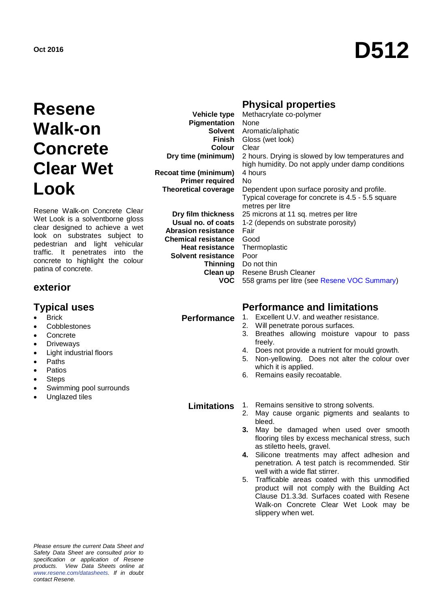# **Oct 2016 D512**

## **Resene Walk-on Concrete Clear Wet Look**

Resene Walk-on Concrete Clear Wet Look is a solventborne gloss clear designed to achieve a wet look on substrates subject to pedestrian and light vehicular traffic. It penetrates into the concrete to highlight the colour patina of concrete.

#### **exterior**

- Brick
- **Cobblestones**
- Concrete
- Driveways
- Light industrial floors
- Paths
- Patios
- **Steps**
- Swimming pool surrounds
- Unglazed tiles

### **Physical properties**

| Vehicle type                | Methacrylate co-polymer                                                                                |
|-----------------------------|--------------------------------------------------------------------------------------------------------|
| Pigmentation                | None                                                                                                   |
| Solvent                     | Aromatic/aliphatic                                                                                     |
| <b>Finish</b>               | Gloss (wet look)                                                                                       |
| <b>Colour</b>               | Clear                                                                                                  |
| Dry time (minimum)          | 2 hours. Drying is slowed by low temperatures and<br>high humidity. Do not apply under damp conditions |
| Recoat time (minimum)       | 4 hours                                                                                                |
| <b>Primer required</b>      | No.                                                                                                    |
| <b>Theoretical coverage</b> | Dependent upon surface porosity and profile.                                                           |
|                             | Typical coverage for concrete is 4.5 - 5.5 square                                                      |
|                             | metres per litre                                                                                       |
| Dry film thickness          | 25 microns at 11 sq. metres per litre                                                                  |
| Usual no. of coats          | 1-2 (depends on substrate porosity)                                                                    |
| <b>Abrasion resistance</b>  | Fair                                                                                                   |
| <b>Chemical resistance</b>  | Good                                                                                                   |
| <b>Heat resistance</b>      | Thermoplastic                                                                                          |
| Solvent resistance          | Poor                                                                                                   |
| Thinning                    | Do not thin                                                                                            |
| Clean up                    | Resene Brush Cleaner                                                                                   |
| VOC.                        | 558 grams per litre (see Resene VOC Summary)                                                           |

### **Typical uses Performance and limitations**

- Performance 1. Excellent U.V. and weather resistance.
	- 2. Will penetrate porous surfaces.
	- 3. Breathes allowing moisture vapour to pass freely.
	- 4. Does not provide a nutrient for mould growth.
	- 5. Non-yellowing. Does not alter the colour over which it is applied.
	- 6. Remains easily recoatable.

**Limitations** 1. Remains sensitive to strong solvents.<br>2. May cause organic pigments and s

- May cause organic pigments and sealants to bleed.
- **3.** May be damaged when used over smooth flooring tiles by excess mechanical stress, such as stiletto heels, gravel.
- **4.** Silicone treatments may affect adhesion and penetration. A test patch is recommended. Stir well with a wide flat stirrer.
- 5. Trafficable areas coated with this unmodified product will not comply with the Building Act Clause D1.3.3d. Surfaces coated with Resene Walk-on Concrete Clear Wet Look may be slippery when wet.

*Please ensure the current Data Sheet and Safety Data Sheet are consulted prior to specification or application of Resene products. View Data Sheets online at [www.resene.com/datasheets.](http://www.resene.com/datasheets) If in doubt contact Resene.*